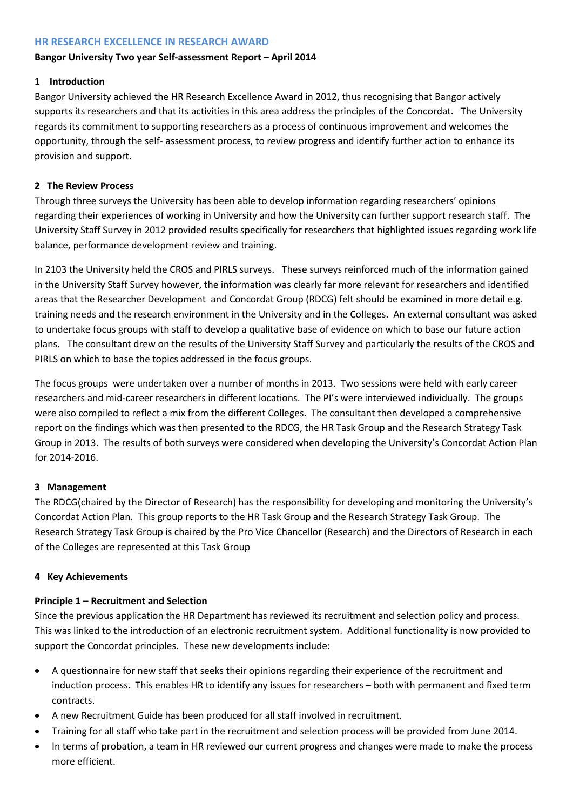### **HR RESEARCH EXCELLENCE IN RESEARCH AWARD**

## **Bangor University Two year Self-assessment Report – April 2014**

# **1 Introduction**

Bangor University achieved the HR Research Excellence Award in 2012, thus recognising that Bangor actively supports its researchers and that its activities in this area address the principles of the Concordat. The University regards its commitment to supporting researchers as a process of continuous improvement and welcomes the opportunity, through the self- assessment process, to review progress and identify further action to enhance its provision and support.

# **2 The Review Process**

Through three surveys the University has been able to develop information regarding researchers' opinions regarding their experiences of working in University and how the University can further support research staff. The University Staff Survey in 2012 provided results specifically for researchers that highlighted issues regarding work life balance, performance development review and training.

In 2103 the University held the CROS and PIRLS surveys. These surveys reinforced much of the information gained in the University Staff Survey however, the information was clearly far more relevant for researchers and identified areas that the Researcher Development and Concordat Group (RDCG) felt should be examined in more detail e.g. training needs and the research environment in the University and in the Colleges. An external consultant was asked to undertake focus groups with staff to develop a qualitative base of evidence on which to base our future action plans. The consultant drew on the results of the University Staff Survey and particularly the results of the CROS and PIRLS on which to base the topics addressed in the focus groups.

The focus groups were undertaken over a number of months in 2013. Two sessions were held with early career researchers and mid-career researchers in different locations. The PI's were interviewed individually. The groups were also compiled to reflect a mix from the different Colleges. The consultant then developed a comprehensive report on the findings which was then presented to the RDCG, the HR Task Group and the Research Strategy Task Group in 2013. The results of both surveys were considered when developing the University's Concordat Action Plan for 2014-2016.

# **3 Management**

The RDCG(chaired by the Director of Research) has the responsibility for developing and monitoring the University's Concordat Action Plan. This group reports to the HR Task Group and the Research Strategy Task Group. The Research Strategy Task Group is chaired by the Pro Vice Chancellor (Research) and the Directors of Research in each of the Colleges are represented at this Task Group

# **4 Key Achievements**

# **Principle 1 – Recruitment and Selection**

Since the previous application the HR Department has reviewed its recruitment and selection policy and process. This was linked to the introduction of an electronic recruitment system. Additional functionality is now provided to support the Concordat principles. These new developments include:

- A questionnaire for new staff that seeks their opinions regarding their experience of the recruitment and induction process. This enables HR to identify any issues for researchers – both with permanent and fixed term contracts.
- A new Recruitment Guide has been produced for all staff involved in recruitment.
- Training for all staff who take part in the recruitment and selection process will be provided from June 2014.
- In terms of probation, a team in HR reviewed our current progress and changes were made to make the process more efficient.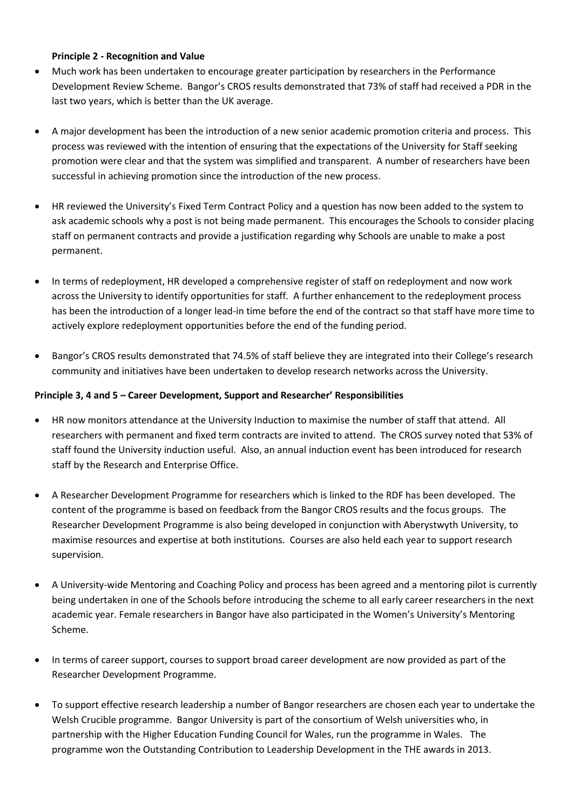#### **Principle 2 - Recognition and Value**

- Much work has been undertaken to encourage greater participation by researchers in the Performance Development Review Scheme. Bangor's CROS results demonstrated that 73% of staff had received a PDR in the last two years, which is better than the UK average.
- A major development has been the introduction of a new senior academic promotion criteria and process. This process was reviewed with the intention of ensuring that the expectations of the University for Staff seeking promotion were clear and that the system was simplified and transparent. A number of researchers have been successful in achieving promotion since the introduction of the new process.
- HR reviewed the University's Fixed Term Contract Policy and a question has now been added to the system to ask academic schools why a post is not being made permanent. This encourages the Schools to consider placing staff on permanent contracts and provide a justification regarding why Schools are unable to make a post permanent.
- In terms of redeployment, HR developed a comprehensive register of staff on redeployment and now work across the University to identify opportunities for staff. A further enhancement to the redeployment process has been the introduction of a longer lead-in time before the end of the contract so that staff have more time to actively explore redeployment opportunities before the end of the funding period.
- Bangor's CROS results demonstrated that 74.5% of staff believe they are integrated into their College's research community and initiatives have been undertaken to develop research networks across the University.

#### **Principle 3, 4 and 5 – Career Development, Support and Researcher' Responsibilities**

- HR now monitors attendance at the University Induction to maximise the number of staff that attend. All researchers with permanent and fixed term contracts are invited to attend. The CROS survey noted that 53% of staff found the University induction useful. Also, an annual induction event has been introduced for research staff by the Research and Enterprise Office.
- A Researcher Development Programme for researchers which is linked to the RDF has been developed. The content of the programme is based on feedback from the Bangor CROS results and the focus groups. The Researcher Development Programme is also being developed in conjunction with Aberystwyth University, to maximise resources and expertise at both institutions. Courses are also held each year to support research supervision.
- A University-wide Mentoring and Coaching Policy and process has been agreed and a mentoring pilot is currently being undertaken in one of the Schools before introducing the scheme to all early career researchers in the next academic year. Female researchers in Bangor have also participated in the Women's University's Mentoring Scheme.
- In terms of career support, courses to support broad career development are now provided as part of the Researcher Development Programme.
- To support effective research leadership a number of Bangor researchers are chosen each year to undertake the Welsh Crucible programme. Bangor University is part of the consortium of Welsh universities who, in partnership with the Higher Education Funding Council for Wales, run the programme in Wales. The programme won the Outstanding Contribution to Leadership Development in the THE awards in 2013.